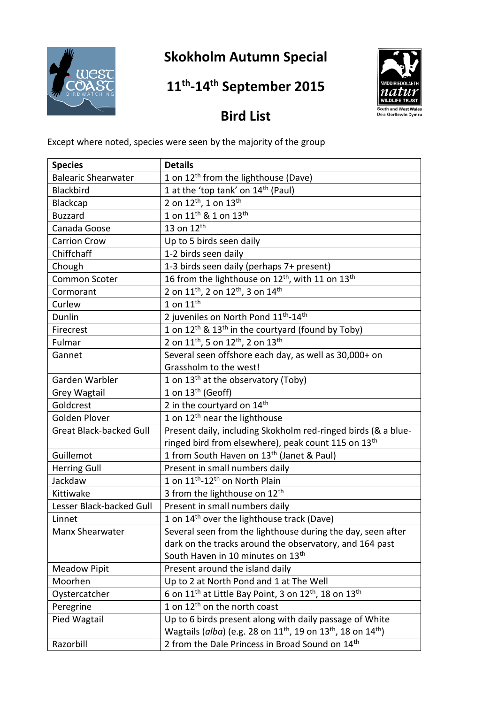

## **Skokholm Autumn Special**

## **11 th -14 th September 2015**



## **Bird List**

Except where noted, species were seen by the majority of the group

| <b>Species</b>                 | <b>Details</b>                                                                                   |
|--------------------------------|--------------------------------------------------------------------------------------------------|
| <b>Balearic Shearwater</b>     | 1 on 12 <sup>th</sup> from the lighthouse (Dave)                                                 |
| Blackbird                      | 1 at the 'top tank' on 14 <sup>th</sup> (Paul)                                                   |
| Blackcap                       | 2 on 12 <sup>th</sup> , 1 on 13 <sup>th</sup>                                                    |
| <b>Buzzard</b>                 | 1 on 11 <sup>th</sup> & 1 on 13 <sup>th</sup>                                                    |
| Canada Goose                   | 13 on $12^{\overline{\text{th}}}$                                                                |
| <b>Carrion Crow</b>            | Up to 5 birds seen daily                                                                         |
| Chiffchaff                     | 1-2 birds seen daily                                                                             |
| Chough                         | 1-3 birds seen daily (perhaps 7+ present)                                                        |
| Common Scoter                  | 16 from the lighthouse on 12 <sup>th</sup> , with 11 on 13 <sup>th</sup>                         |
| Cormorant                      | 2 on 11 <sup>th</sup> , 2 on 12 <sup>th</sup> , 3 on 14 <sup>th</sup>                            |
| Curlew                         | 1 on $11^{\text{th}}$                                                                            |
| Dunlin                         | 2 juveniles on North Pond 11 <sup>th</sup> -14 <sup>th</sup>                                     |
| Firecrest                      | 1 on 12 <sup>th</sup> & 13 <sup>th</sup> in the courtyard (found by Toby)                        |
| Fulmar                         | 2 on 11 <sup>th</sup> , 5 on 12 <sup>th</sup> , 2 on 13 <sup>th</sup>                            |
| Gannet                         | Several seen offshore each day, as well as 30,000+ on                                            |
|                                | Grassholm to the west!                                                                           |
| Garden Warbler                 | 1 on 13 <sup>th</sup> at the observatory (Toby)                                                  |
| <b>Grey Wagtail</b>            | 1 on $13th$ (Geoff)                                                                              |
| Goldcrest                      | 2 in the courtyard on 14th                                                                       |
| Golden Plover                  | 1 on 12 <sup>th</sup> near the lighthouse                                                        |
| <b>Great Black-backed Gull</b> | Present daily, including Skokholm red-ringed birds (& a blue-                                    |
|                                | ringed bird from elsewhere), peak count 115 on 13th                                              |
| Guillemot                      | 1 from South Haven on 13 <sup>th</sup> (Janet & Paul)                                            |
| <b>Herring Gull</b>            | Present in small numbers daily                                                                   |
| Jackdaw                        | 1 on 11 <sup>th</sup> -12 <sup>th</sup> on North Plain                                           |
| Kittiwake                      | 3 from the lighthouse on 12 <sup>th</sup>                                                        |
| Lesser Black-backed Gull       | Present in small numbers daily                                                                   |
| Linnet                         | 1 on 14 <sup>th</sup> over the lighthouse track (Dave)                                           |
| Manx Shearwater                | Several seen from the lighthouse during the day, seen after                                      |
|                                | dark on the tracks around the observatory, and 164 past                                          |
|                                | South Haven in 10 minutes on 13 <sup>th</sup>                                                    |
| <b>Meadow Pipit</b>            | Present around the island daily                                                                  |
| Moorhen                        | Up to 2 at North Pond and 1 at The Well                                                          |
| Oystercatcher                  | 6 on 11 <sup>th</sup> at Little Bay Point, 3 on 12 <sup>th</sup> , 18 on 13 <sup>th</sup>        |
| Peregrine                      | 1 on 12 <sup>th</sup> on the north coast                                                         |
| Pied Wagtail                   | Up to 6 birds present along with daily passage of White                                          |
|                                | Wagtails (alba) (e.g. 28 on 11 <sup>th</sup> , 19 on 13 <sup>th</sup> , 18 on 14 <sup>th</sup> ) |
| Razorbill                      | 2 from the Dale Princess in Broad Sound on 14th                                                  |